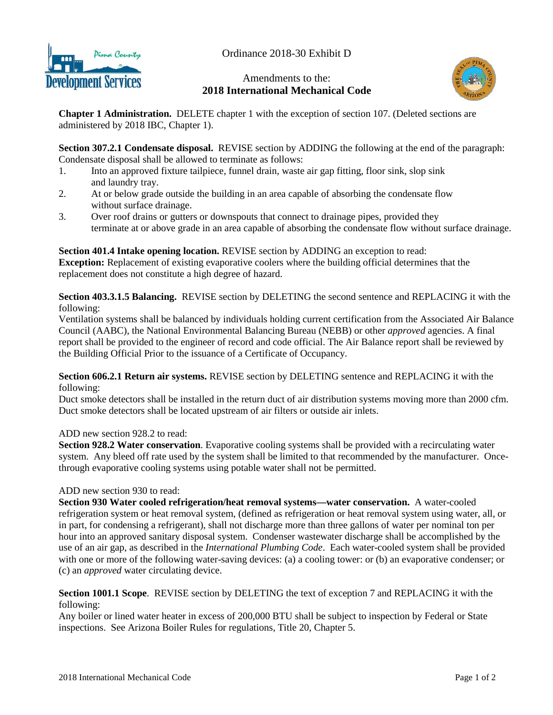

Ordinance 2018-30 Exhibit D

# Amendments to the: **2018 International Mechanical Code**



**Chapter 1 Administration.** DELETE chapter 1 with the exception of section 107. (Deleted sections are administered by 2018 IBC, Chapter 1).

**Section 307.2.1 Condensate disposal.** REVISE section by ADDING the following at the end of the paragraph: Condensate disposal shall be allowed to terminate as follows:

- 1. Into an approved fixture tailpiece, funnel drain, waste air gap fitting, floor sink, slop sink and laundry tray.
- 2. At or below grade outside the building in an area capable of absorbing the condensate flow without surface drainage.
- 3. Over roof drains or gutters or downspouts that connect to drainage pipes, provided they terminate at or above grade in an area capable of absorbing the condensate flow without surface drainage.

**Section 401.4 Intake opening location.** REVISE section by ADDING an exception to read: **Exception:** Replacement of existing evaporative coolers where the building official determines that the replacement does not constitute a high degree of hazard.

**Section 403.3.1.5 Balancing.** REVISE section by DELETING the second sentence and REPLACING it with the following:

Ventilation systems shall be balanced by individuals holding current certification from the Associated Air Balance Council (AABC), the National Environmental Balancing Bureau (NEBB) or other *approved* agencies. A final report shall be provided to the engineer of record and code official. The Air Balance report shall be reviewed by the Building Official Prior to the issuance of a Certificate of Occupancy.

### **Section 606.2.1 Return air systems.** REVISE section by DELETING sentence and REPLACING it with the following:

Duct smoke detectors shall be installed in the return duct of air distribution systems moving more than 2000 cfm. Duct smoke detectors shall be located upstream of air filters or outside air inlets.

### ADD new section 928.2 to read:

**Section 928.2 Water conservation**. Evaporative cooling systems shall be provided with a recirculating water system. Any bleed off rate used by the system shall be limited to that recommended by the manufacturer. Oncethrough evaporative cooling systems using potable water shall not be permitted.

## ADD new section 930 to read:

**Section 930 Water cooled refrigeration/heat removal systems—water conservation.** A water-cooled refrigeration system or heat removal system, (defined as refrigeration or heat removal system using water, all, or in part, for condensing a refrigerant), shall not discharge more than three gallons of water per nominal ton per hour into an approved sanitary disposal system. Condenser wastewater discharge shall be accomplished by the use of an air gap, as described in the *International Plumbing Code*. Each water-cooled system shall be provided with one or more of the following water-saving devices: (a) a cooling tower: or (b) an evaporative condenser; or (c) an *approved* water circulating device.

### **Section 1001.1 Scope**. REVISE section by DELETING the text of exception 7 and REPLACING it with the following:

Any boiler or lined water heater in excess of 200,000 BTU shall be subject to inspection by Federal or State inspections. See Arizona Boiler Rules for regulations, Title 20, Chapter 5.